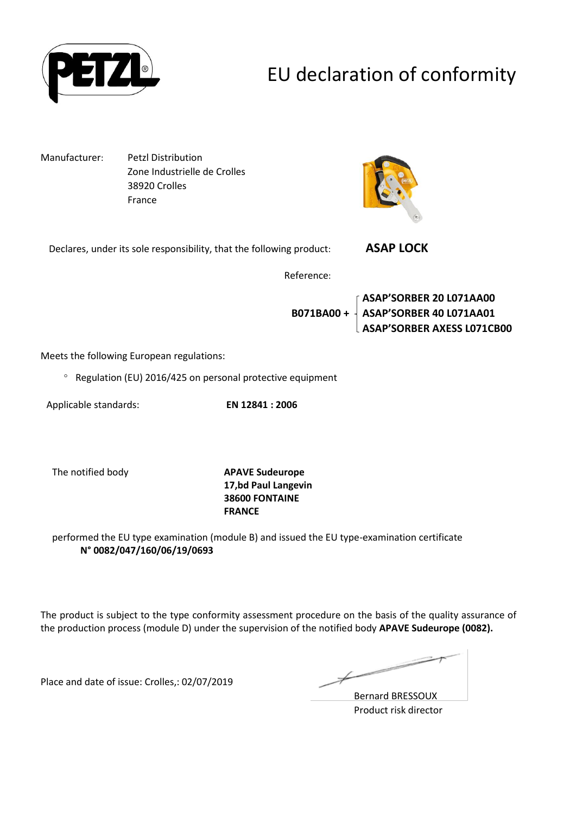

# EU declaration of conformity

Manufacturer: Petzl Distribution Zone Industrielle de Crolles 38920 Crolles France



Declares, under its sole responsibility, that the following product: **ASAP LOCK** 

Reference:

**ASAP'SORBER 20 L071AA00 B071BA00 + ASAP'SORBER 40 L071AA01 ASAP'SORBER AXESS L071CB00**

Meets the following European regulations:

 $\degree$  Regulation (EU) 2016/425 on personal protective equipment

Applicable standards: **EN 12841 : 2006**

The notified body **APAVE Sudeurope 17,bd Paul Langevin 38600 FONTAINE FRANCE**

performed the EU type examination (module B) and issued the EU type-examination certificate **N° 0082/047/160/06/19/0693**

The product is subject to the type conformity assessment procedure on the basis of the quality assurance of the production process (module D) under the supervision of the notified body **APAVE Sudeurope (0082).**

Place and date of issue: Crolles,: 02/07/2019

Ł

Bernard BRESSOUX Product risk director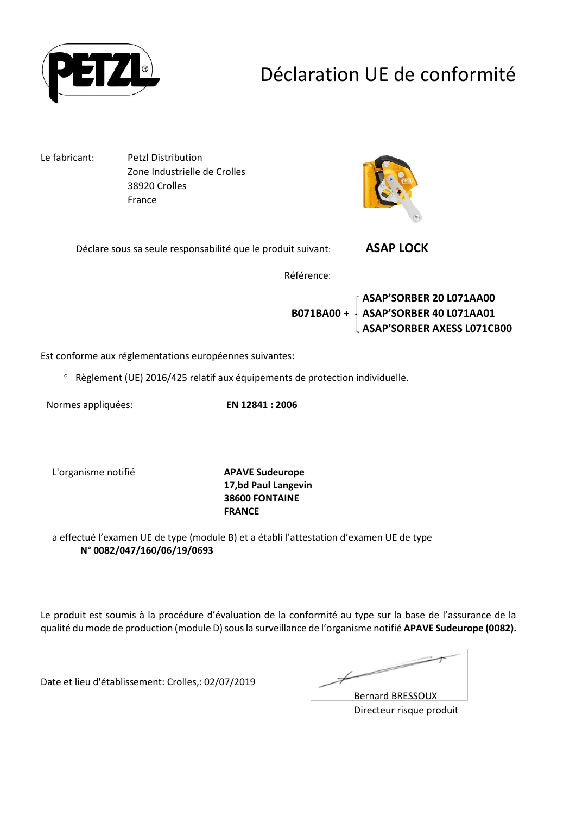

## Déclaration UE de conformité

Le fabricant: Petzl Distribution Zone Industrielle de Crolles 38920 Crolles France



Déclare sous sa seule responsabilité que le produit suivant: **ASAP LOCK** 

Référence:

**ASAP'SORBER 20 L071AA00 B071BA00 + ASAP'SORBER 40 L071AA01 ASAP'SORBER AXESS L071CB00**

Est conforme aux réglementations européennes suivantes:

Règlement (UE) 2016/425 relatif aux équipements de protection individuelle.

Normes appliquées: **EN 12841 : 2006**

L'organisme notifié **APAVE Sudeurope**

**17,bd Paul Langevin 38600 FONTAINE FRANCE**

a effectué l'examen UE de type (module B) et a établi l'attestation d'examen UE de type **N° 0082/047/160/06/19/0693**

Le produit est soumis à la procédure d'évaluation de la conformité au type sur la base de l'assurance de la qualité du mode de production (module D) sous la surveillance de l'organisme notifié **APAVE Sudeurope (0082).**

Date et lieu d'établissement: Crolles,: 02/07/2019

Ł

Bernard BRESSOUX Directeur risque produit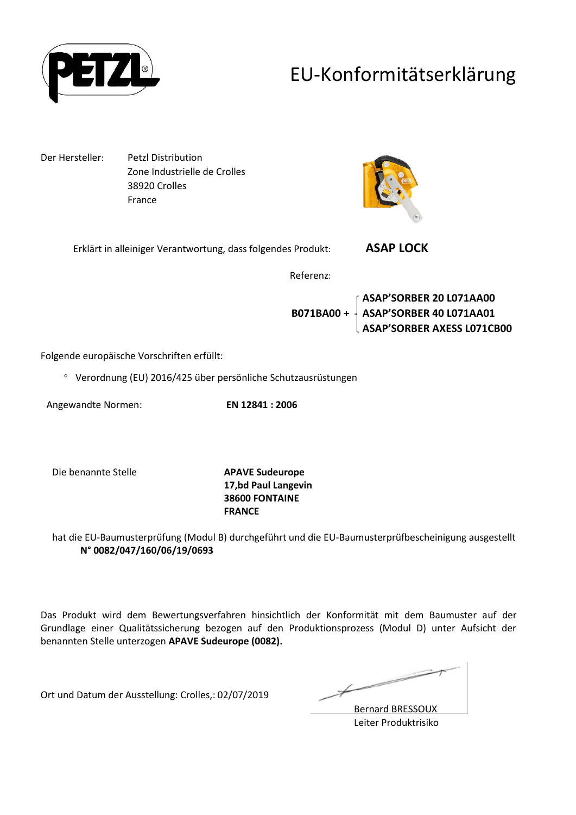

### EU-Konformitätserklärung

Der Hersteller: Petzl Distribution Zone Industrielle de Crolles 38920 Crolles France



Erklärt in alleiniger Verantwortung, dass folgendes Produkt: **ASAP LOCK** 

Referenz:

**ASAP'SORBER 20 L071AA00 B071BA00 + ASAP'SORBER 40 L071AA01 ASAP'SORBER AXESS L071CB00**

Folgende europäische Vorschriften erfüllt:

Verordnung (EU) 2016/425 über persönliche Schutzausrüstungen

Angewandte Normen: **EN 12841 : 2006**

Die benannte Stelle **APAVE Sudeurope**

**17,bd Paul Langevin 38600 FONTAINE FRANCE**

hat die EU-Baumusterprüfung (Modul B) durchgeführt und die EU-Baumusterprüfbescheinigung ausgestellt **N° 0082/047/160/06/19/0693**

Das Produkt wird dem Bewertungsverfahren hinsichtlich der Konformität mit dem Baumuster auf der Grundlage einer Qualitätssicherung bezogen auf den Produktionsprozess (Modul D) unter Aufsicht der benannten Stelle unterzogen **APAVE Sudeurope (0082).**

Ort und Datum der Ausstellung: Crolles,: 02/07/2019

Bernard BRESSOUX Leiter Produktrisiko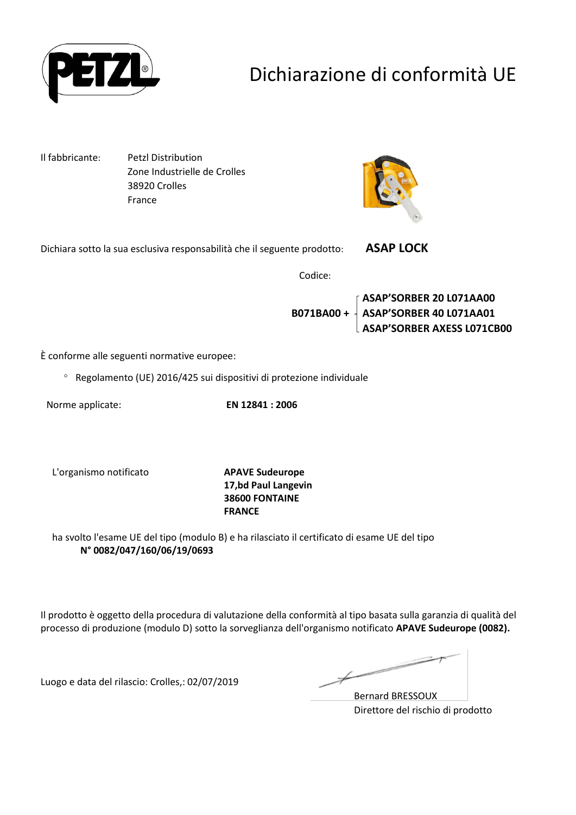

# Dichiarazione di conformità UE

Il fabbricante: Petzl Distribution Zone Industrielle de Crolles 38920 Crolles France



Dichiara sotto la sua esclusiva responsabilità che il seguente prodotto: **ASAP LOCK** 

Codice:

**ASAP'SORBER 20 L071AA00 B071BA00 + ASAP'SORBER 40 L071AA01 ASAP'SORBER AXESS L071CB00**

È conforme alle seguenti normative europee:

Regolamento (UE) 2016/425 sui dispositivi di protezione individuale

Norme applicate: **EN 12841 : 2006**

L'organismo notificato **APAVE Sudeurope**

**17,bd Paul Langevin 38600 FONTAINE FRANCE**

ha svolto l'esame UE del tipo (modulo B) e ha rilasciato il certificato di esame UE del tipo **N° 0082/047/160/06/19/0693**

Il prodotto è oggetto della procedura di valutazione della conformità al tipo basata sulla garanzia di qualità del processo di produzione (modulo D) sotto la sorveglianza dell'organismo notificato **APAVE Sudeurope (0082).**

Luogo e data del rilascio: Crolles,: 02/07/2019

Ł

Bernard BRESSOUX Direttore del rischio di prodotto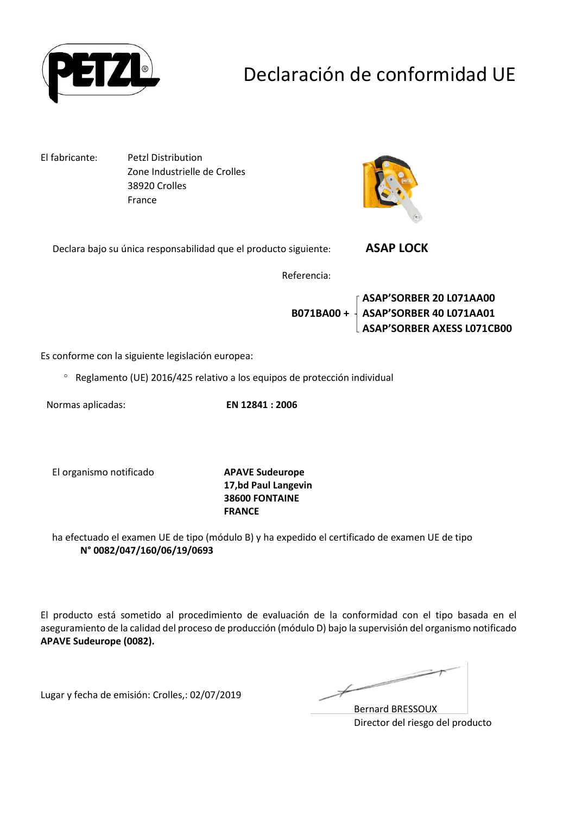

## Declaración de conformidad UE

El fabricante: Petzl Distribution Zone Industrielle de Crolles 38920 Crolles France



Declara bajo su única responsabilidad que el producto siguiente: **ASAP LOCK** 

Referencia:

**ASAP'SORBER 20 L071AA00 B071BA00 + ASAP'SORBER 40 L071AA01 ASAP'SORBER AXESS L071CB00**

Es conforme con la siguiente legislación europea:

Reglamento (UE) 2016/425 relativo a los equipos de protección individual

Normas aplicadas: **EN 12841 : 2006**

El organismo notificado **APAVE Sudeurope**

**17,bd Paul Langevin 38600 FONTAINE FRANCE**

ha efectuado el examen UE de tipo (módulo B) y ha expedido el certificado de examen UE de tipo **N° 0082/047/160/06/19/0693**

El producto está sometido al procedimiento de evaluación de la conformidad con el tipo basada en el aseguramiento de la calidad del proceso de producción (módulo D) bajo la supervisión del organismo notificado **APAVE Sudeurope (0082).**

Lugar y fecha de emisión: Crolles,: 02/07/2019

Bernard BRESSOUX Director del riesgo del producto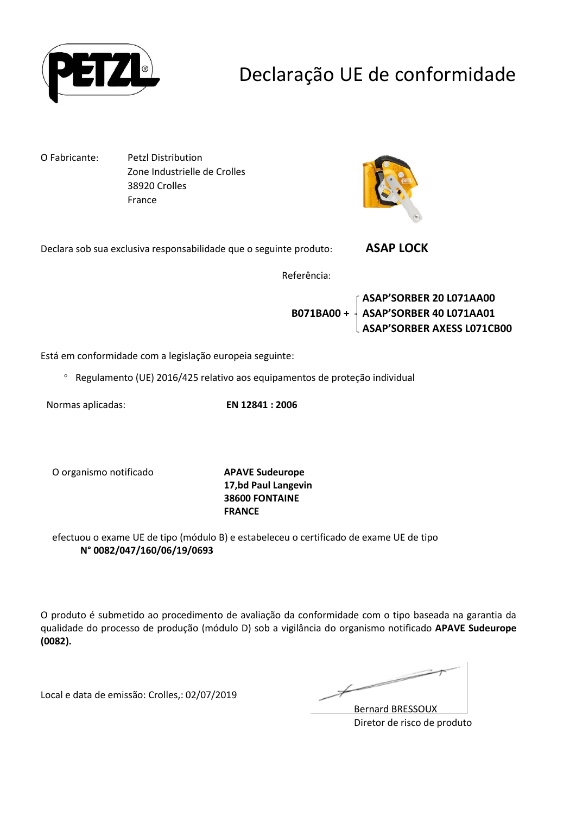

## Declaração UE de conformidade

O Fabricante: Petzl Distribution Zone Industrielle de Crolles 38920 Crolles France



Declara sob sua exclusiva responsabilidade que o seguinte produto: **ASAP LOCK** 

Referência:

**ASAP'SORBER 20 L071AA00 B071BA00 + ASAP'SORBER 40 L071AA01 ASAP'SORBER AXESS L071CB00**

Está em conformidade com a legislação europeia seguinte:

Regulamento (UE) 2016/425 relativo aos equipamentos de proteção individual

Normas aplicadas: **EN 12841 : 2006**

O organismo notificado **APAVE Sudeurope**

**17,bd Paul Langevin 38600 FONTAINE FRANCE**

efectuou o exame UE de tipo (módulo B) e estabeleceu o certificado de exame UE de tipo **N° 0082/047/160/06/19/0693**

O produto é submetido ao procedimento de avaliação da conformidade com o tipo baseada na garantia da qualidade do processo de produção (módulo D) sob a vigilância do organismo notificado **APAVE Sudeurope (0082).**

Local e data de emissão: Crolles,: 02/07/2019

Bernard BRESSOUX Diretor de risco de produto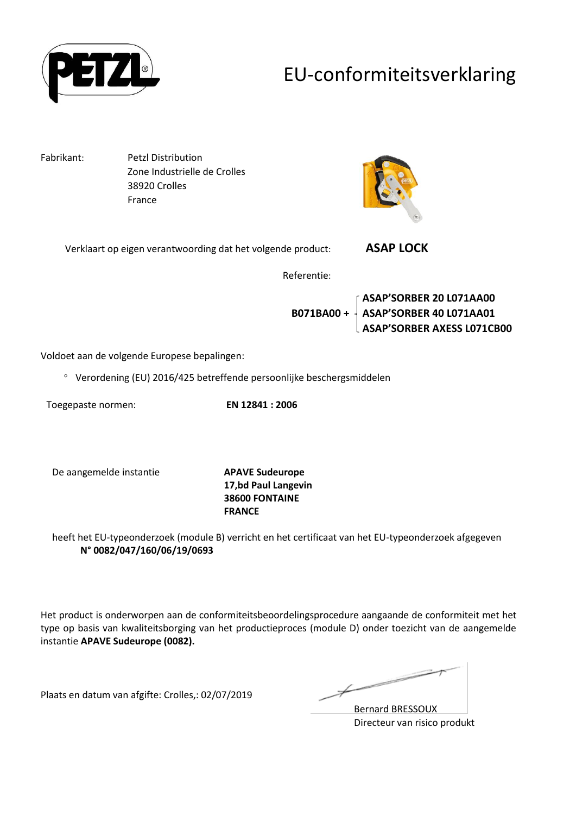

### EU-conformiteitsverklaring

Fabrikant: Petzl Distribution Zone Industrielle de Crolles 38920 Crolles France



Verklaart op eigen verantwoording dat het volgende product: **ASAP LOCK** 

Referentie:

**ASAP'SORBER 20 L071AA00 B071BA00 + ASAP'SORBER 40 L071AA01 ASAP'SORBER AXESS L071CB00**

Voldoet aan de volgende Europese bepalingen:

Verordening (EU) 2016/425 betreffende persoonlijke beschergsmiddelen

Toegepaste normen: **EN 12841 : 2006**

De aangemelde instantie **APAVE Sudeurope**

**17,bd Paul Langevin 38600 FONTAINE FRANCE**

heeft het EU-typeonderzoek (module B) verricht en het certificaat van het EU-typeonderzoek afgegeven **N° 0082/047/160/06/19/0693**

Het product is onderworpen aan de conformiteitsbeoordelingsprocedure aangaande de conformiteit met het type op basis van kwaliteitsborging van het productieproces (module D) onder toezicht van de aangemelde instantie **APAVE Sudeurope (0082).**

Plaats en datum van afgifte: Crolles,: 02/07/2019

Bernard BRESSOUX Directeur van risico produkt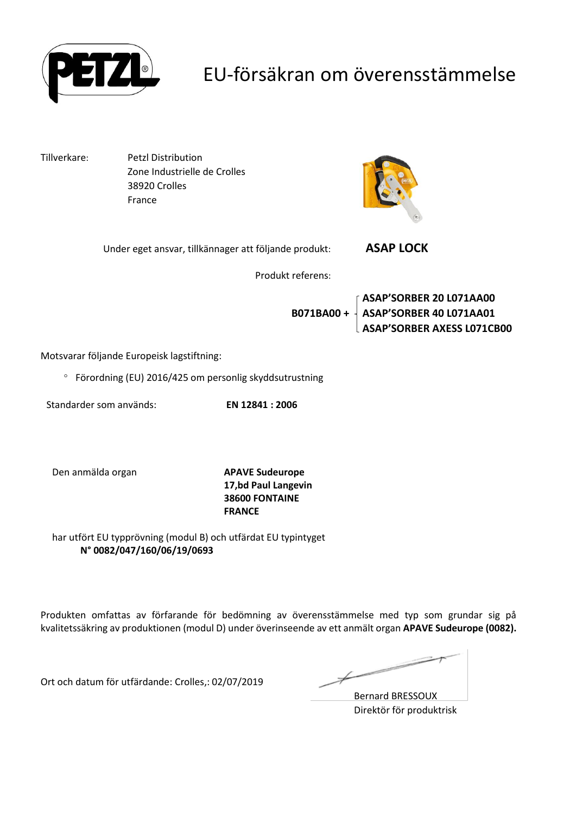

### EU-försäkran om överensstämmelse

Tillverkare: Petzl Distribution 38920 Crolles

Zone Industrielle de Crolles France



| Under eget ansvar, tillkännager att följande produkt: | <b>ASAP LOCK</b> |  |
|-------------------------------------------------------|------------------|--|
| Produkt referens:                                     |                  |  |

**ASAP'SORBER 20 L071AA00 B071BA00 + ASAP'SORBER 40 L071AA01 ASAP'SORBER AXESS L071CB00**

Motsvarar följande Europeisk lagstiftning:

Förordning (EU) 2016/425 om personlig skyddsutrustning

Standarder som används: **EN 12841 : 2006**

Den anmälda organ **APAVE Sudeurope**

**17,bd Paul Langevin 38600 FONTAINE FRANCE**

har utfört EU typprövning (modul B) och utfärdat EU typintyget **N° 0082/047/160/06/19/0693**

Produkten omfattas av förfarande för bedömning av överensstämmelse med typ som grundar sig på kvalitetssäkring av produktionen (modul D) under överinseende av ett anmält organ **APAVE Sudeurope (0082).**

Ort och datum för utfärdande: Crolles,: 02/07/2019

Ł

Bernard BRESSOUX Direktör för produktrisk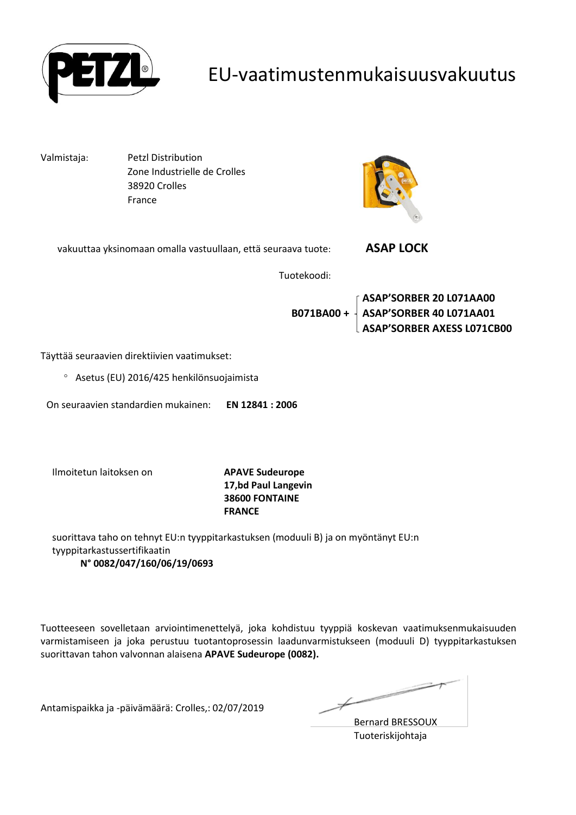

#### EU-vaatimustenmukaisuusvakuutus

Valmistaja: Petzl Distribution Zone Industrielle de Crolles 38920 Crolles France



| vakuuttaa yksinomaan omalla vastuullaan, että seuraava tuote: | <b>ASAP LOCK</b> |  |
|---------------------------------------------------------------|------------------|--|
| Tuotekoodi:                                                   |                  |  |

**ASAP'SORBER 20 L071AA00 B071BA00 + ASAP'SORBER 40 L071AA01 ASAP'SORBER AXESS L071CB00**

Täyttää seuraavien direktiivien vaatimukset:

Asetus (EU) 2016/425 henkilönsuojaimista

On seuraavien standardien mukainen: **EN 12841 : 2006**

Ilmoitetun laitoksen on **APAVE Sudeurope**

**17,bd Paul Langevin 38600 FONTAINE FRANCE**

suorittava taho on tehnyt EU:n tyyppitarkastuksen (moduuli B) ja on myöntänyt EU:n tyyppitarkastussertifikaatin **N° 0082/047/160/06/19/0693**

Tuotteeseen sovelletaan arviointimenettelyä, joka kohdistuu tyyppiä koskevan vaatimuksenmukaisuuden varmistamiseen ja joka perustuu tuotantoprosessin laadunvarmistukseen (moduuli D) tyyppitarkastuksen suorittavan tahon valvonnan alaisena **APAVE Sudeurope (0082).**

Antamispaikka ja -päivämäärä: Crolles,: 02/07/2019

Ì

Bernard BRESSOUX Tuoteriskijohtaja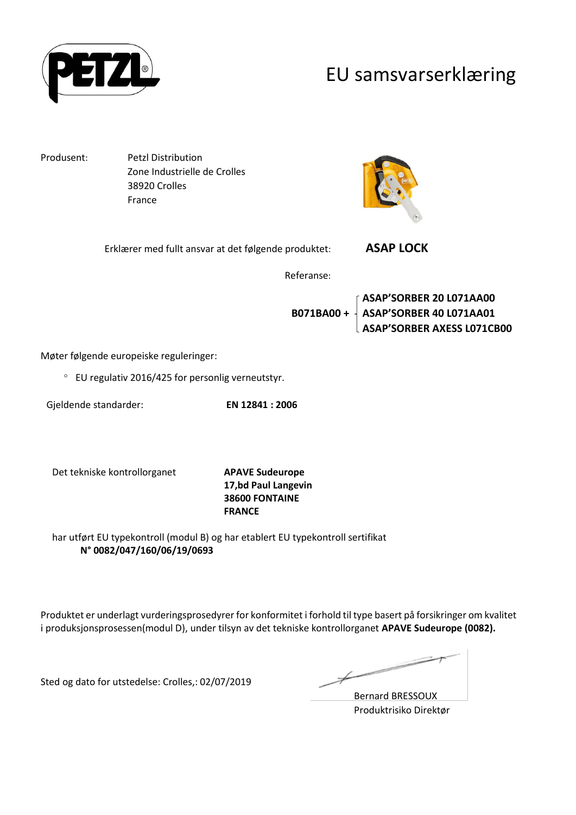

#### EU samsvarserklæring

Produsent: Petzl Distribution Zone Industrielle de Crolles 38920 Crolles France



| Erklærer med fullt ansvar at det følgende produktet: | <b>ASAP LOCK</b> |
|------------------------------------------------------|------------------|
|                                                      |                  |

Referanse:

**ASAP'SORBER 20 L071AA00 B071BA00 + ASAP'SORBER 40 L071AA01 ASAP'SORBER AXESS L071CB00**

Møter følgende europeiske reguleringer:

EU regulativ 2016/425 for personlig verneutstyr.

Gjeldende standarder: **EN 12841 : 2006**

Det tekniske kontrollorganet **APAVE Sudeurope**

**17,bd Paul Langevin 38600 FONTAINE FRANCE**

har utført EU typekontroll (modul B) og har etablert EU typekontroll sertifikat **N° 0082/047/160/06/19/0693**

Produktet er underlagt vurderingsprosedyrer for konformitet i forhold til type basert på forsikringer om kvalitet i produksjonsprosessen(modul D), under tilsyn av det tekniske kontrollorganet **APAVE Sudeurope (0082).**

Sted og dato for utstedelse: Crolles,: 02/07/2019

Ł

Bernard BRESSOUX Produktrisiko Direktør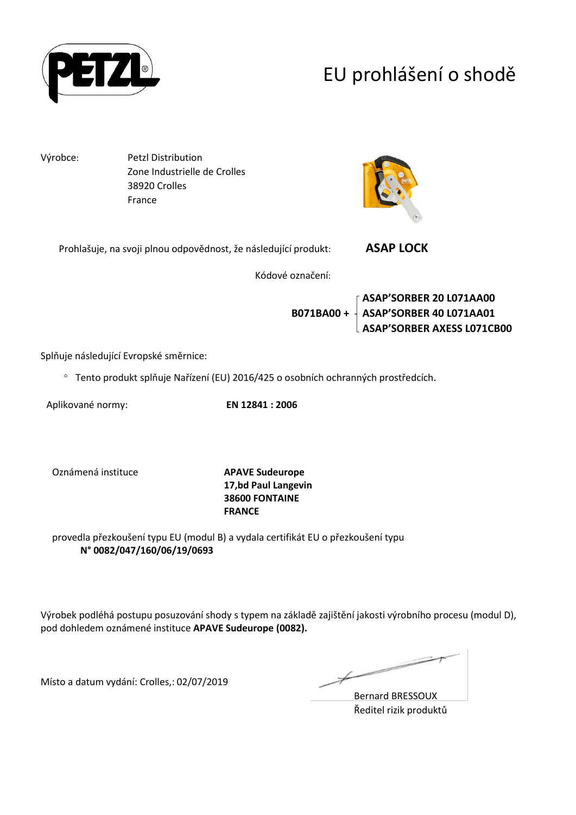

# EU prohlášení o shodě

Výrobce: Petzl Distribution Zone Industrielle de Crolles 38920 Crolles France



| Prohlašuje, na svoji plnou odpovědnost, že následující produkt: | <b>ASAP LOCK</b> |  |
|-----------------------------------------------------------------|------------------|--|
|                                                                 |                  |  |

Kódové označení:

**ASAP'SORBER 20 L071AA00 B071BA00 + ASAP'SORBER 40 L071AA01 ASAP'SORBER AXESS L071CB00**

Splňuje následující Evropské směrnice:

Tento produkt splňuje Nařízení (EU) 2016/425 o osobních ochranných prostředcích.

Aplikované normy: **EN 12841 : 2006**

Oznámená instituce **APAVE Sudeurope**

**17,bd Paul Langevin 38600 FONTAINE FRANCE**

provedla přezkoušení typu EU (modul B) a vydala certifikát EU o přezkoušení typu **N° 0082/047/160/06/19/0693**

Výrobek podléhá postupu posuzování shody s typem na základě zajištění jakosti výrobního procesu (modul D), pod dohledem oznámené instituce **APAVE Sudeurope (0082).**

Místo a datum vydání: Crolles,: 02/07/2019

Ł

Bernard BRESSOUX Ředitel rizik produktů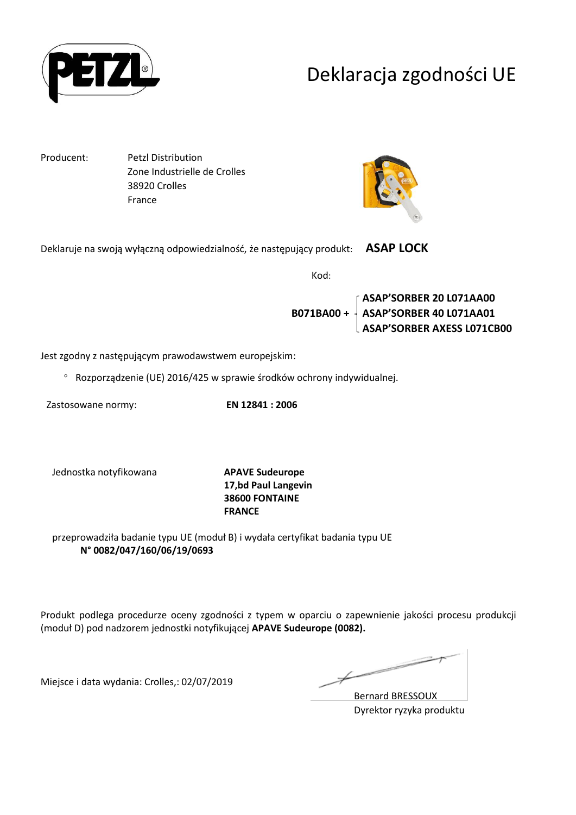

## Deklaracja zgodności UE

Producent: Petzl Distribution Zone Industrielle de Crolles 38920 Crolles France



Deklaruje na swoją wyłączną odpowiedzialność, że następujący produkt: **ASAP LOCK** 

Kod:

**ASAP'SORBER 20 L071AA00 B071BA00 + ASAP'SORBER 40 L071AA01 ASAP'SORBER AXESS L071CB00**

Jest zgodny z następującym prawodawstwem europejskim:

Rozporządzenie (UE) 2016/425 w sprawie środków ochrony indywidualnej.

Zastosowane normy: **EN 12841 : 2006**

Jednostka notyfikowana **APAVE Sudeurope**

**17,bd Paul Langevin 38600 FONTAINE FRANCE**

przeprowadziła badanie typu UE (moduł B) i wydała certyfikat badania typu UE **N° 0082/047/160/06/19/0693**

Produkt podlega procedurze oceny zgodności z typem w oparciu o zapewnienie jakości procesu produkcji (moduł D) pod nadzorem jednostki notyfikującej **APAVE Sudeurope (0082).**

Miejsce i data wydania: Crolles,: 02/07/2019

 $\overline{\phantom{a}}$ 

Bernard BRESSOUX Dyrektor ryzyka produktu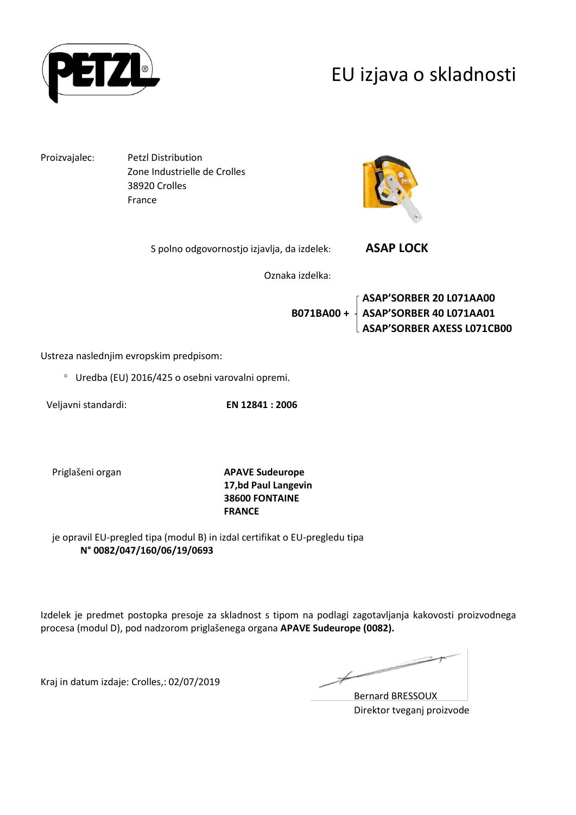

### EU izjava o skladnosti

Proizvajalec: Petzl Distribution Zone Industrielle de Crolles 38920 Crolles France



S polno odgovornostjo izjavlja, da izdelek: **ASAP LOCK** 

Oznaka izdelka:

**ASAP'SORBER 20 L071AA00 B071BA00 + ASAP'SORBER 40 L071AA01 ASAP'SORBER AXESS L071CB00**

Ustreza naslednjim evropskim predpisom:

Uredba (EU) 2016/425 o osebni varovalni opremi.

Veljavni standardi: **EN 12841 : 2006**

Priglašeni organ **APAVE Sudeurope 17,bd Paul Langevin 38600 FONTAINE FRANCE**

je opravil EU-pregled tipa (modul B) in izdal certifikat o EU-pregledu tipa **N° 0082/047/160/06/19/0693**

Izdelek je predmet postopka presoje za skladnost s tipom na podlagi zagotavljanja kakovosti proizvodnega procesa (modul D), pod nadzorom priglašenega organa **APAVE Sudeurope (0082).**

Kraj in datum izdaje: Crolles,: 02/07/2019

 $\not\!\!\!\!/$ 

Bernard BRESSOUX Direktor tveganj proizvode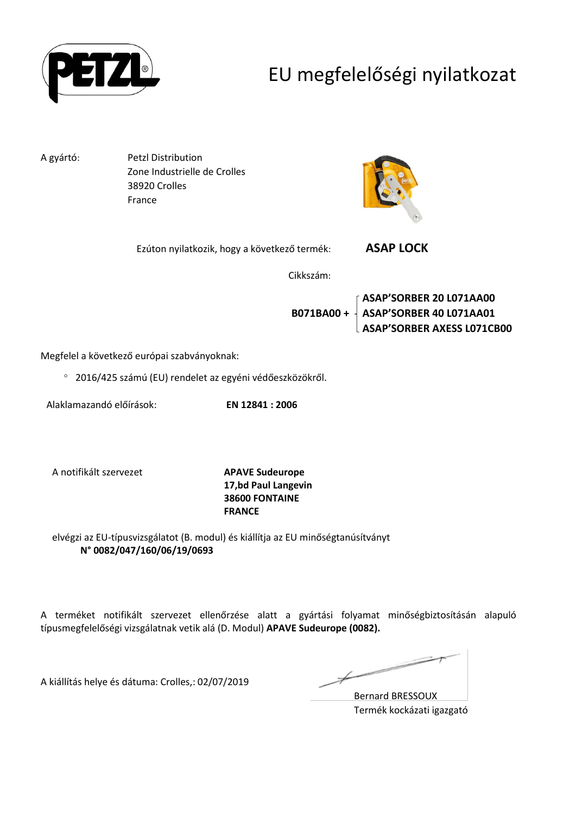

## EU megfelelőségi nyilatkozat

A gyártó: Petzl Distribution Zone Industrielle de Crolles 38920 Crolles France



Ezúton nyilatkozik, hogy a következő termék: **ASAP LOCK** 

Cikkszám:

**ASAP'SORBER 20 L071AA00 B071BA00 + ASAP'SORBER 40 L071AA01 ASAP'SORBER AXESS L071CB00**

Megfelel a következő európai szabványoknak:

2016/425 számú (EU) rendelet az egyéni védőeszközökről.

Alaklamazandó előírások: **EN 12841 : 2006**

A notifikált szervezet **APAVE Sudeurope**

**17,bd Paul Langevin 38600 FONTAINE FRANCE**

elvégzi az EU-típusvizsgálatot (B. modul) és kiállítja az EU minőségtanúsítványt **N° 0082/047/160/06/19/0693**

A terméket notifikált szervezet ellenőrzése alatt a gyártási folyamat minőségbiztosításán alapuló típusmegfelelőségi vizsgálatnak vetik alá (D. Modul) **APAVE Sudeurope (0082).**

A kiállítás helye és dátuma: Crolles,: 02/07/2019

Þ

Bernard BRESSOUX Termék kockázati igazgató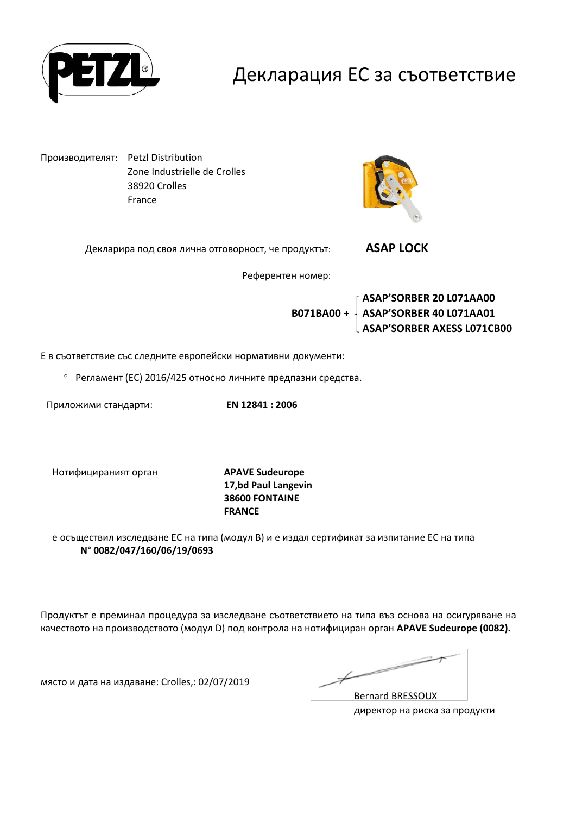

#### Декларация ЕС за съответствие

Производителят: Petzl Distribution Zone Industrielle de Crolles 38920 Crolles France



Декларира под своя лична отговорност, че продуктът: **ASAP LOCK** 

Референтен номер:

**ASAP'SORBER 20 L071AA00 B071BA00 + ASAP'SORBER 40 L071AA01 ASAP'SORBER AXESS L071CB00**

Е в съответствие със следните европейски нормативни документи:

Регламент (ЕС) 2016/425 относно личните предпазни средства.

Приложими стандарти: **EN 12841 : 2006**

Нотифицираният орган **APAVE Sudeurope**

**17,bd Paul Langevin 38600 FONTAINE FRANCE**

е осъществил изследване ЕС на типа (модул В) и е издал сертификат за изпитание ЕС на типа **N° 0082/047/160/06/19/0693**

Продуктът е преминал процедура за изследване съответствието на типа въз основа на осигуряване на качеството на производството (модул D) под контрола на нотифициран орган **APAVE Sudeurope (0082).**

място и дата на издаване: Crolles,: 02/07/2019

 $\overline{\phantom{a}}$ 

Bernard BRESSOUX директор на риска за продукти